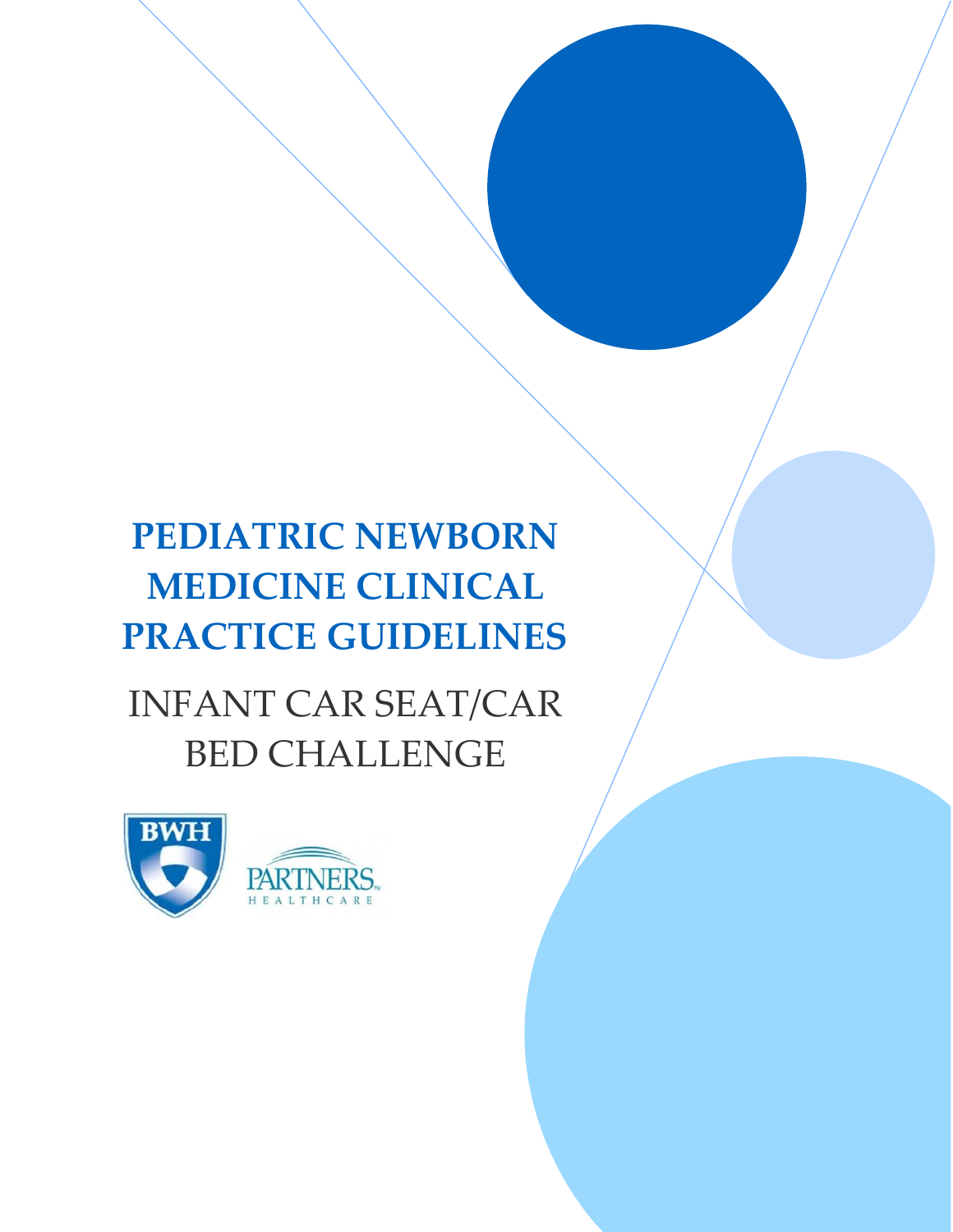# **PEDIATRIC NEWBORN MEDICINE CLINICAL PRACTICE GUIDELINES**

# INFANT CAR SEAT/CAR BED CHALLENGE

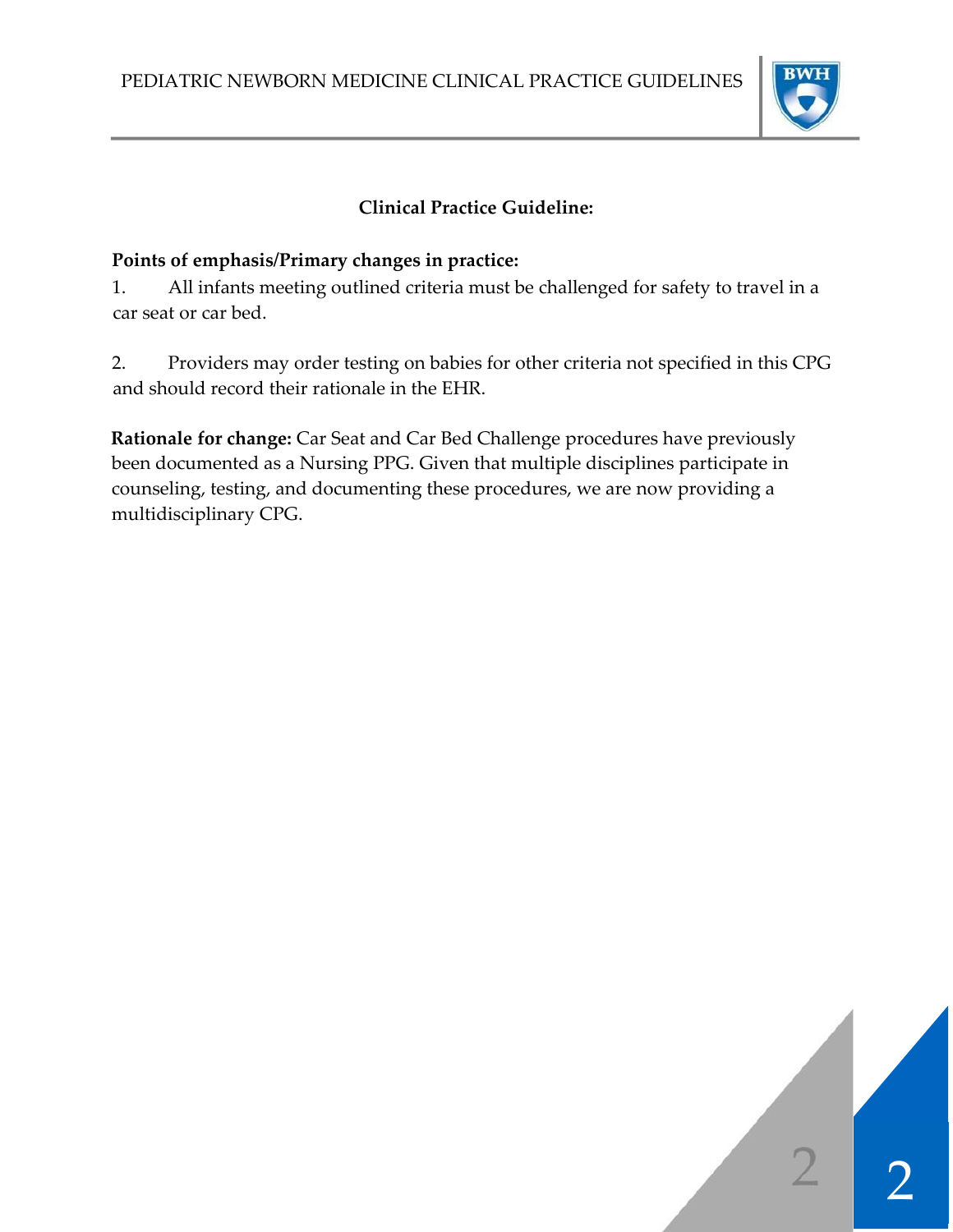

# **Clinical Practice Guideline:**

## **Points of emphasis/Primary changes in practice:**

1. All infants meeting outlined criteria must be challenged for safety to travel in a car seat or car bed.

2. Providers may order testing on babies for other criteria not specified in this CPG and should record their rationale in the EHR.

**Rationale for change:** Car Seat and Car Bed Challenge procedures have previously been documented as a Nursing PPG. Given that multiple disciplines participate in counseling, testing, and documenting these procedures, we are now providing a multidisciplinary CPG.

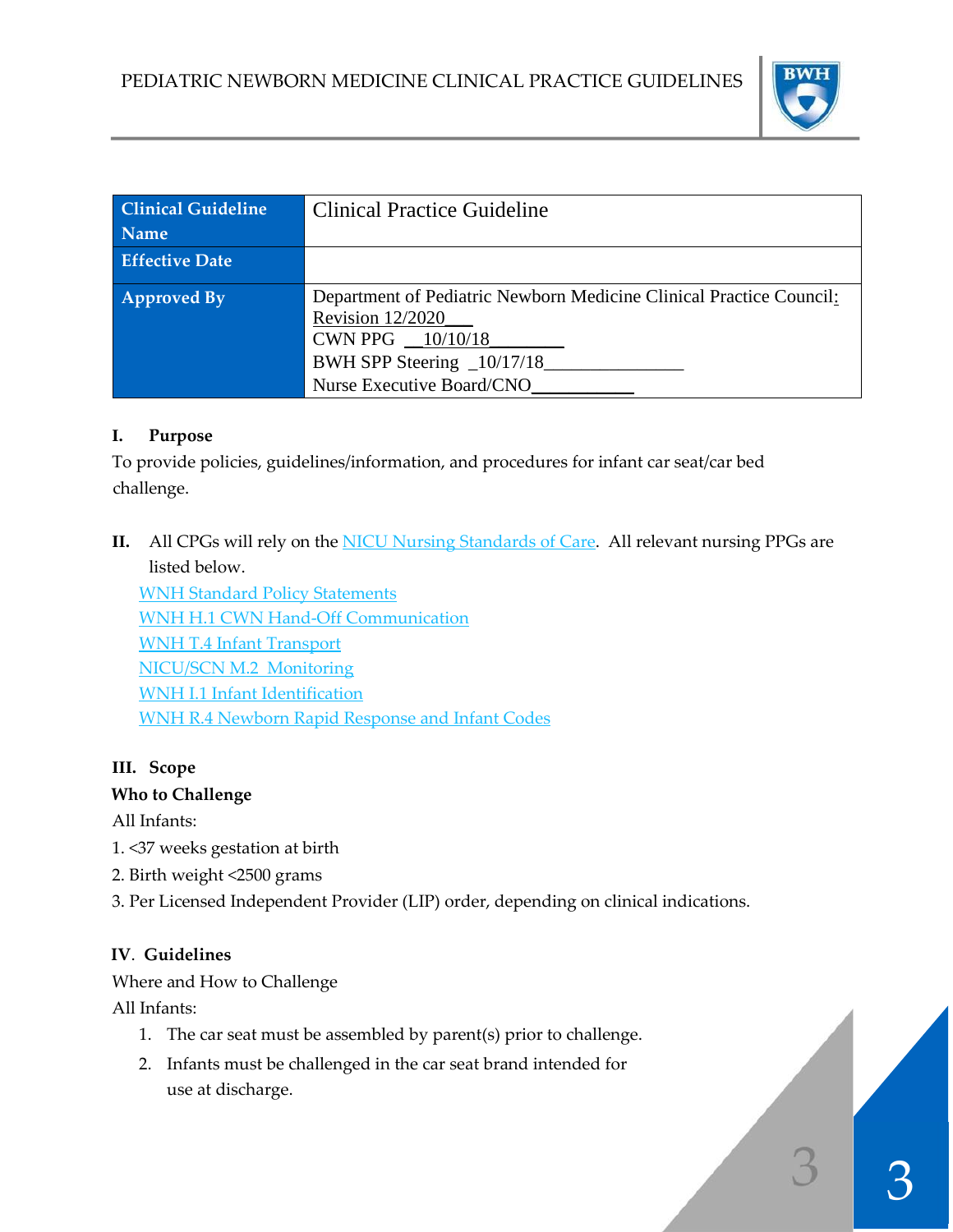

| <b>Clinical Guideline</b><br><b>Name</b> | <b>Clinical Practice Guideline</b>                                                                                                                                         |
|------------------------------------------|----------------------------------------------------------------------------------------------------------------------------------------------------------------------------|
| <b>Effective Date</b>                    |                                                                                                                                                                            |
| <b>Approved By</b>                       | Department of Pediatric Newborn Medicine Clinical Practice Council:<br>Revision 12/2020<br>CWN PPG $\_10/10/18$<br>BWH SPP Steering _10/17/18<br>Nurse Executive Board/CNO |

#### **I. Purpose**

To provide policies, guidelines/information, and procedures for infant car seat/car bed challenge.

**II.** All CPGs will rely on the **NICU Nursing Standards of Care**. All relevant nursing PPGs are listed below.

WNH Standard Policy Statements WNH H.1 CWN Hand‐Off Communication WNH T.4 Infant Transport NICU/SCN M.2 Monitoring WNH I.1 Infant Identification WNH R.4 Newborn Rapid Response and Infant Codes

#### **III. Scope**

#### **Who to Challenge**

All Infants:

- 1. <37 weeks gestation at birth
- 2. Birth weight <2500 grams
- 3. Per Licensed Independent Provider (LIP) order, depending on clinical indications.

## **IV**. **Guidelines**

Where and How to Challenge

All Infants:

- 1. The car seat must be assembled by parent(s) prior to challenge.
- 2. Infants must be challenged in the car seat brand intended for use at discharge.

 $\begin{array}{c|c} 3 \end{array}$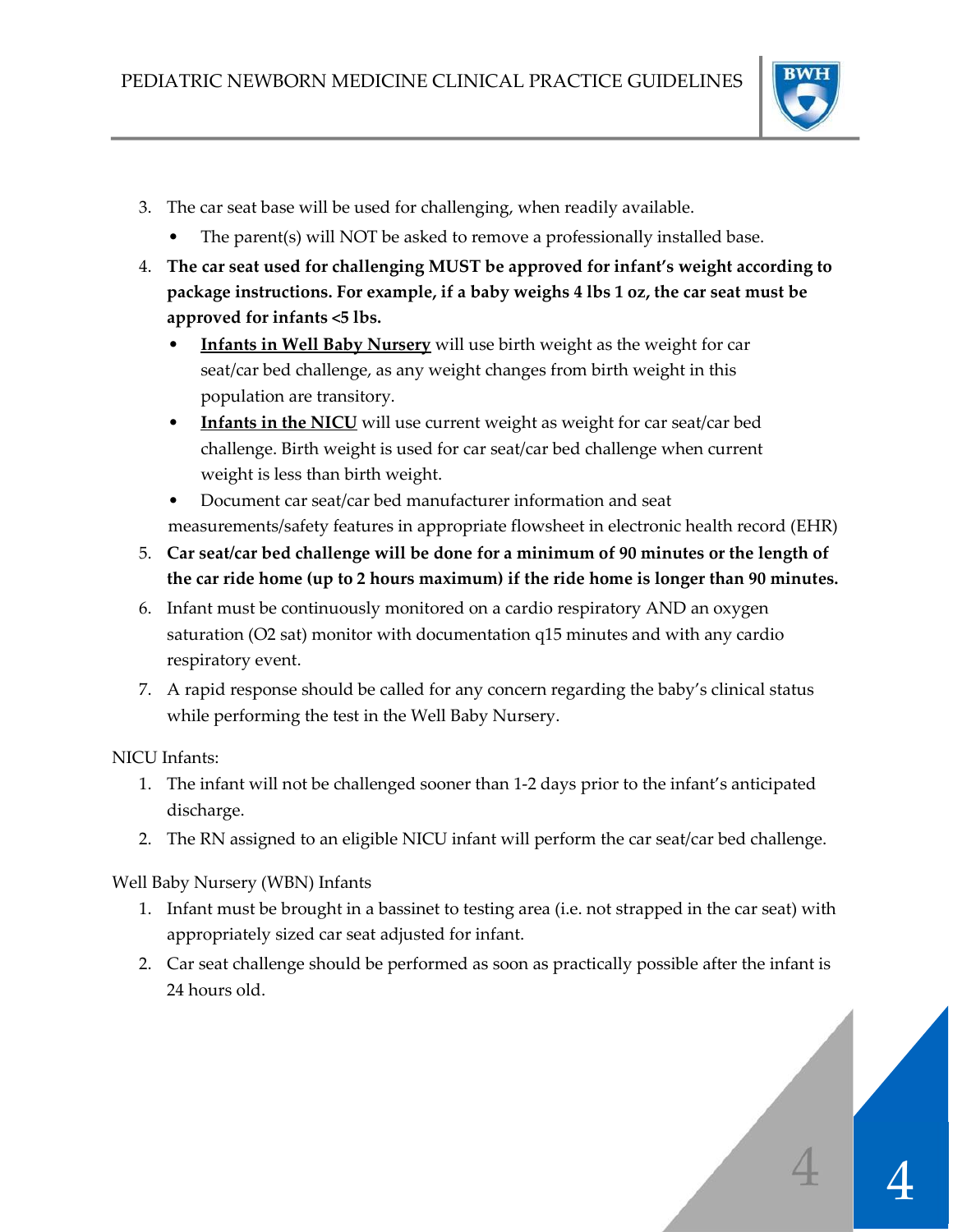

- 3. The car seat base will be used for challenging, when readily available.
	- The parent(s) will NOT be asked to remove a professionally installed base.
- 4. **The car seat used for challenging MUST be approved for infant's weight according to package instructions. For example, if a baby weighs 4 lbs 1 oz, the car seat must be approved for infants <5 lbs.** 
	- **Infants in Well Baby Nursery** will use birth weight as the weight for car seat/car bed challenge, as any weight changes from birth weight in this population are transitory.
	- **Infants in the NICU** will use current weight as weight for car seat/car bed challenge. Birth weight is used for car seat/car bed challenge when current weight is less than birth weight.
	- Document car seat/car bed manufacturer information and seat measurements/safety features in appropriate flowsheet in electronic health record (EHR)
- 5. **Car seat/car bed challenge will be done for a minimum of 90 minutes or the length of the car ride home (up to 2 hours maximum) if the ride home is longer than 90 minutes.**
- 6. Infant must be continuously monitored on a cardio respiratory AND an oxygen saturation (O2 sat) monitor with documentation q15 minutes and with any cardio respiratory event.
- 7. A rapid response should be called for any concern regarding the baby's clinical status while performing the test in the Well Baby Nursery.

NICU Infants:

- 1. The infant will not be challenged sooner than 1‐2 days prior to the infant's anticipated discharge.
- 2. The RN assigned to an eligible NICU infant will perform the car seat/car bed challenge.

Well Baby Nursery (WBN) Infants

- 1. Infant must be brought in a bassinet to testing area (i.e. not strapped in the car seat) with appropriately sized car seat adjusted for infant.
- 2. Car seat challenge should be performed as soon as practically possible after the infant is 24 hours old.

 $\frac{1}{4}$ 

4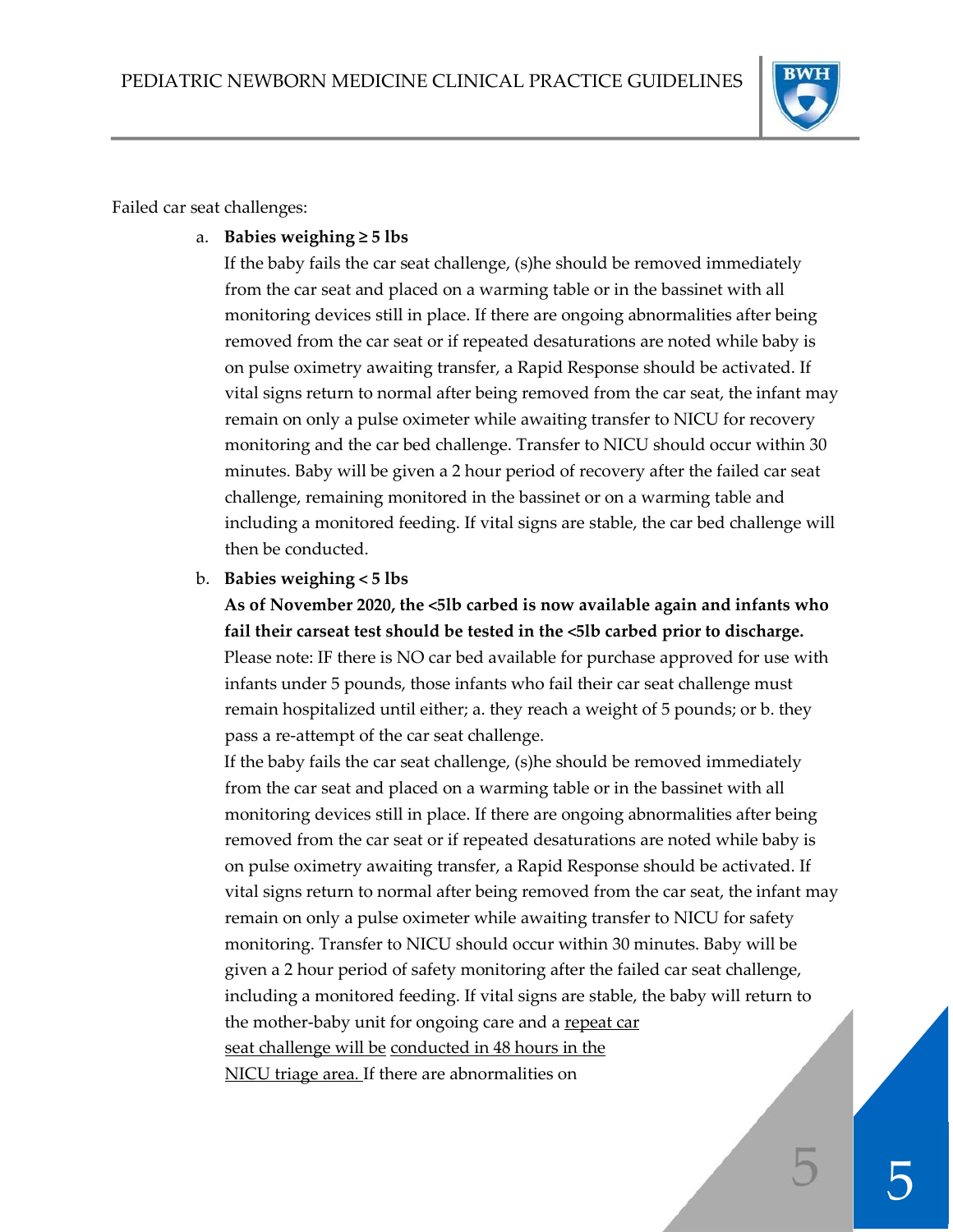

Failed car seat challenges:

a. **Babies weighing ≥ 5 lbs**

If the baby fails the car seat challenge, (s)he should be removed immediately from the car seat and placed on a warming table or in the bassinet with all monitoring devices still in place. If there are ongoing abnormalities after being removed from the car seat or if repeated desaturations are noted while baby is on pulse oximetry awaiting transfer, a Rapid Response should be activated. If vital signs return to normal after being removed from the car seat, the infant may remain on only a pulse oximeter while awaiting transfer to NICU for recovery monitoring and the car bed challenge. Transfer to NICU should occur within 30 minutes. Baby will be given a 2 hour period of recovery after the failed car seat challenge, remaining monitored in the bassinet or on a warming table and including a monitored feeding. If vital signs are stable, the car bed challenge will then be conducted.

b. **Babies weighing < 5 lbs** 

**As of November 2020, the <5lb carbed is now available again and infants who fail their carseat test should be tested in the <5lb carbed prior to discharge.** Please note: IF there is NO car bed available for purchase approved for use with infants under 5 pounds, those infants who fail their car seat challenge must remain hospitalized until either; a. they reach a weight of 5 pounds; or b. they pass a re‐attempt of the car seat challenge.

If the baby fails the car seat challenge, (s)he should be removed immediately from the car seat and placed on a warming table or in the bassinet with all monitoring devices still in place. If there are ongoing abnormalities after being removed from the car seat or if repeated desaturations are noted while baby is on pulse oximetry awaiting transfer, a Rapid Response should be activated. If vital signs return to normal after being removed from the car seat, the infant may remain on only a pulse oximeter while awaiting transfer to NICU for safety monitoring. Transfer to NICU should occur within 30 minutes. Baby will be given a 2 hour period of safety monitoring after the failed car seat challenge, including a monitored feeding. If vital signs are stable, the baby will return to the mother-baby unit for ongoing care and a repeat car seat challenge will be conducted in 48 hours in the NICU triage area. If there are abnormalities on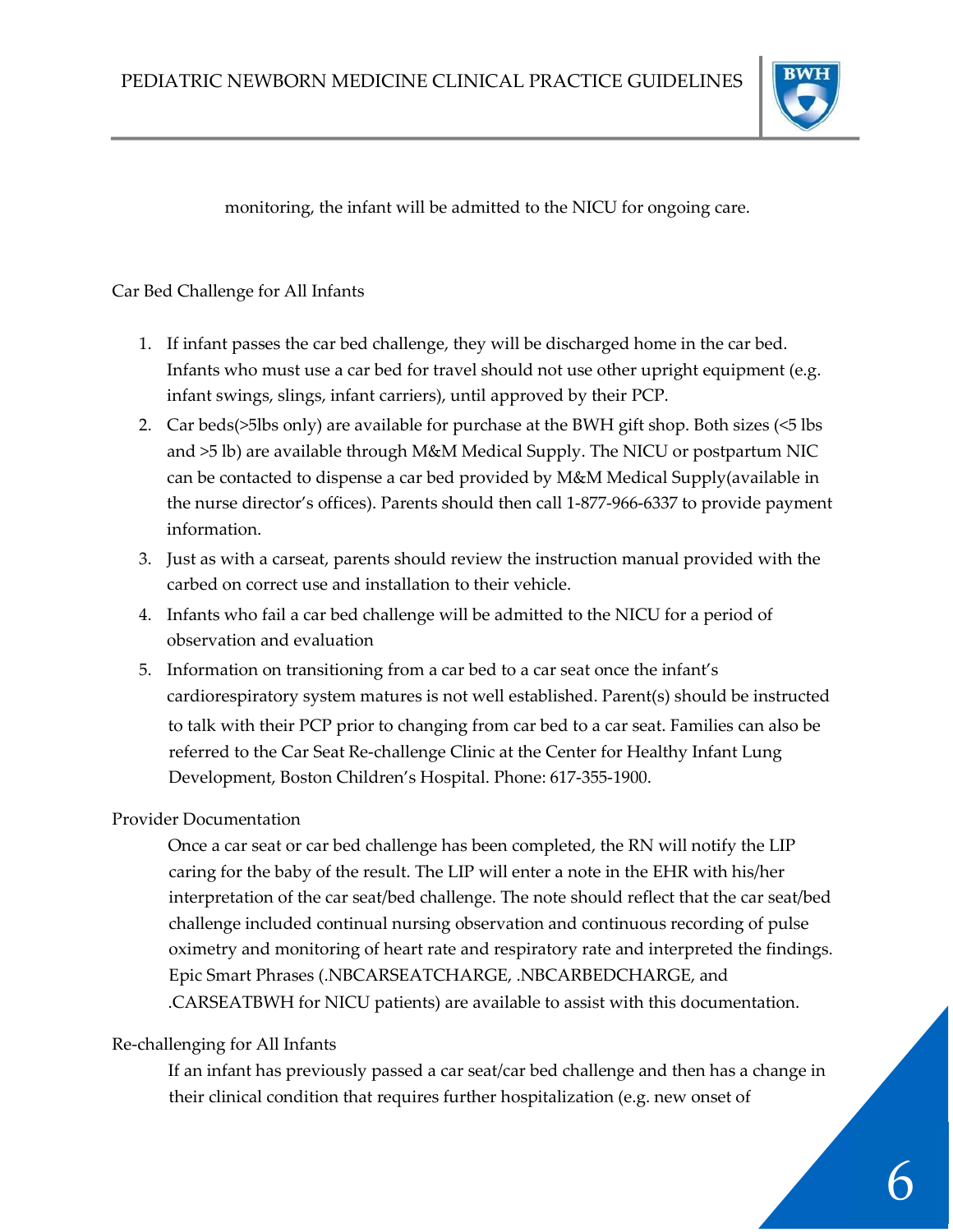

monitoring, the infant will be admitted to the NICU for ongoing care.

#### Car Bed Challenge for All Infants

- 1. If infant passes the car bed challenge, they will be discharged home in the car bed. Infants who must use a car bed for travel should not use other upright equipment (e.g. infant swings, slings, infant carriers), until approved by their PCP.
- 2. Car beds(>5lbs only) are available for purchase at the BWH gift shop. Both sizes (<5 lbs and >5 lb) are available through M&M Medical Supply. The NICU or postpartum NIC can be contacted to dispense a car bed provided by M&M Medical Supply(available in the nurse director's offices). Parents should then call 1‐877‐966‐6337 to provide payment information.
- 3. Just as with a carseat, parents should review the instruction manual provided with the carbed on correct use and installation to their vehicle.
- 4. Infants who fail a car bed challenge will be admitted to the NICU for a period of observation and evaluation
- 5. Information on transitioning from a car bed to a car seat once the infant's cardiorespiratory system matures is not well established. Parent(s) should be instructed to talk with their PCP prior to changing from car bed to a car seat. Families can also be referred to the Car Seat Re‐challenge Clinic at the Center for Healthy Infant Lung Development, Boston Children's Hospital. Phone: 617‐355‐1900.

#### Provider Documentation

Once a car seat or car bed challenge has been completed, the RN will notify the LIP caring for the baby of the result. The LIP will enter a note in the EHR with his/her interpretation of the car seat/bed challenge. The note should reflect that the car seat/bed challenge included continual nursing observation and continuous recording of pulse oximetry and monitoring of heart rate and respiratory rate and interpreted the findings. Epic Smart Phrases (.NBCARSEATCHARGE, .NBCARBEDCHARGE, and .CARSEATBWH for NICU patients) are available to assist with this documentation.

#### Re‐challenging for All Infants

If an infant has previously passed a car seat/car bed challenge and then has a change in their clinical condition that requires further hospitalization (e.g. new onset of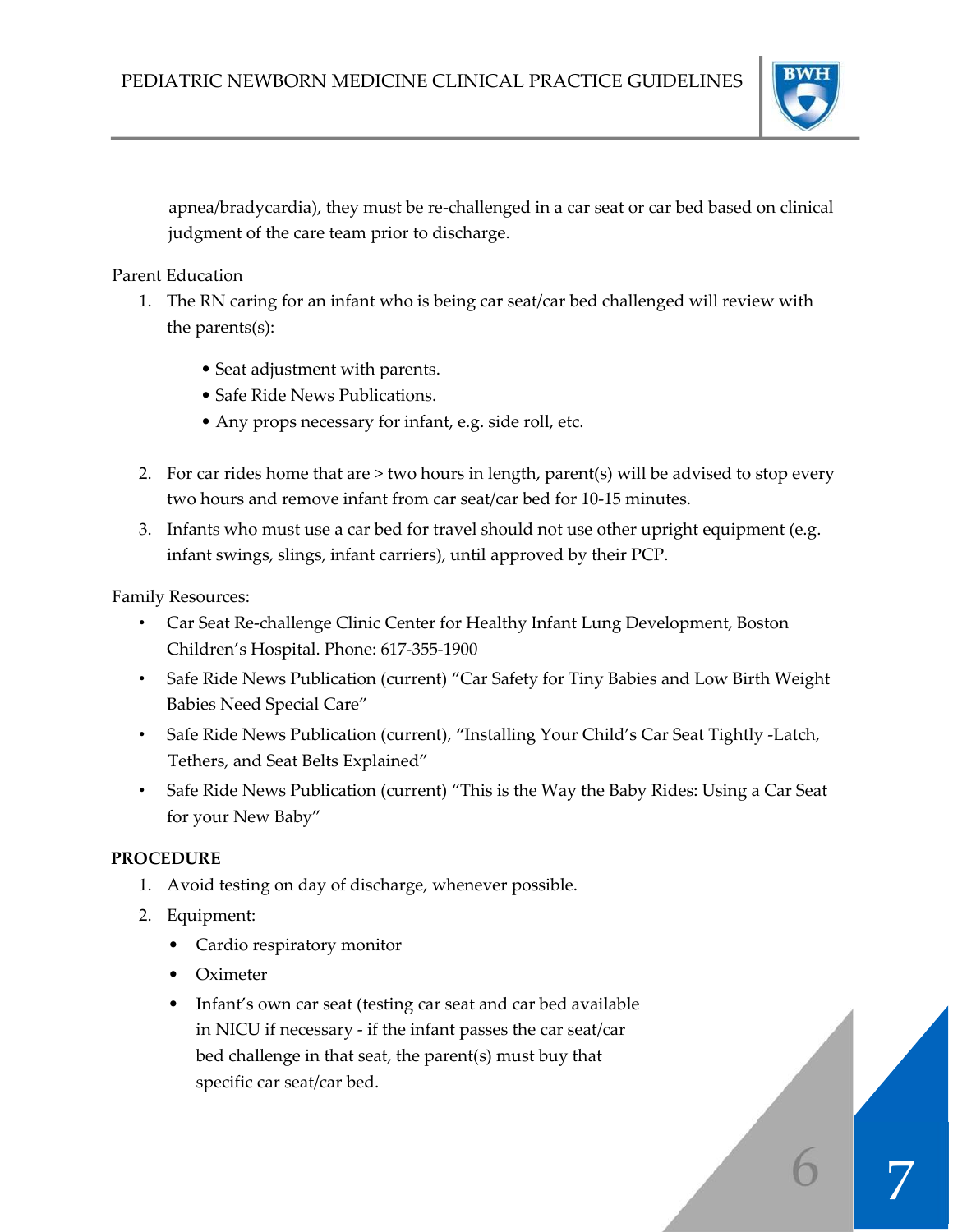

6

apnea/bradycardia), they must be re‐challenged in a car seat or car bed based on clinical judgment of the care team prior to discharge.

Parent Education

- 1. The RN caring for an infant who is being car seat/car bed challenged will review with the parents(s):
	- Seat adjustment with parents.
	- Safe Ride News Publications.
	- Any props necessary for infant, e.g. side roll, etc.
- 2. For car rides home that are > two hours in length, parent(s) will be advised to stop every two hours and remove infant from car seat/car bed for 10‐15 minutes.
- 3. Infants who must use a car bed for travel should not use other upright equipment (e.g. infant swings, slings, infant carriers), until approved by their PCP.

Family Resources:

- Car Seat Re‐challenge Clinic Center for Healthy Infant Lung Development, Boston Children's Hospital. Phone: 617‐355‐1900
- Safe Ride News Publication (current) "Car Safety for Tiny Babies and Low Birth Weight Babies Need Special Care"
- Safe Ride News Publication (current), "Installing Your Child's Car Seat Tightly -Latch, Tethers, and Seat Belts Explained"
- Safe Ride News Publication (current) "This is the Way the Baby Rides: Using a Car Seat for your New Baby"

## **PROCEDURE**

- 1. Avoid testing on day of discharge, whenever possible.
- 2. Equipment:
	- Cardio respiratory monitor
	- Oximeter
	- Infant's own car seat (testing car seat and car bed available in NICU if necessary ‐ if the infant passes the car seat/car bed challenge in that seat, the parent(s) must buy that specific car seat/car bed.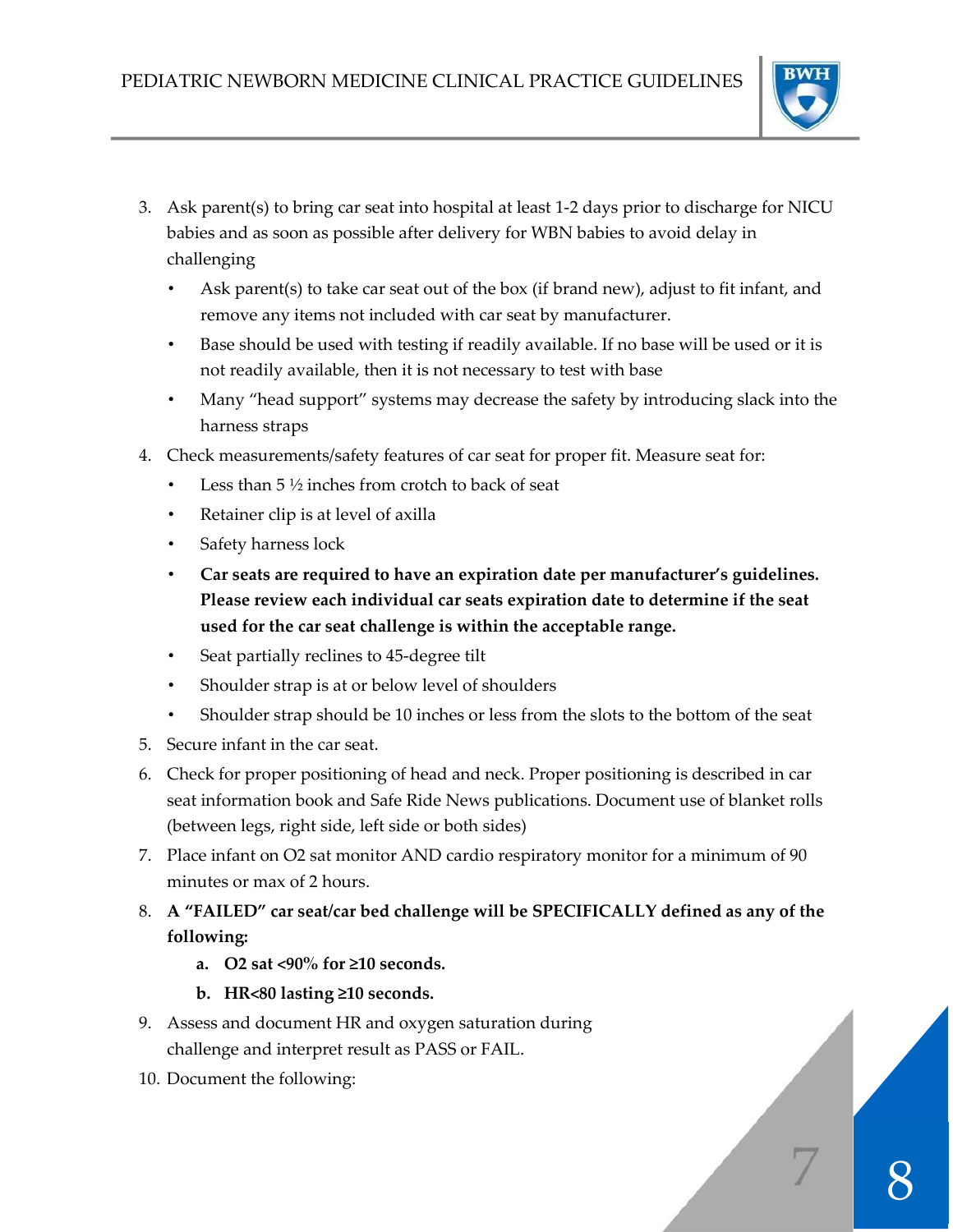

- 3. Ask parent(s) to bring car seat into hospital at least 1‐2 days prior to discharge for NICU babies and as soon as possible after delivery for WBN babies to avoid delay in challenging
	- Ask parent(s) to take car seat out of the box (if brand new), adjust to fit infant, and remove any items not included with car seat by manufacturer.
	- Base should be used with testing if readily available. If no base will be used or it is not readily available, then it is not necessary to test with base
	- Many "head support" systems may decrease the safety by introducing slack into the harness straps
- 4. Check measurements/safety features of car seat for proper fit. Measure seat for:
	- Less than  $5\frac{1}{2}$  inches from crotch to back of seat
	- Retainer clip is at level of axilla
	- Safety harness lock
	- **Car seats are required to have an expiration date per manufacturer's guidelines. Please review each individual car seats expiration date to determine if the seat used for the car seat challenge is within the acceptable range.**
	- Seat partially reclines to 45-degree tilt
	- Shoulder strap is at or below level of shoulders
	- Shoulder strap should be 10 inches or less from the slots to the bottom of the seat
- 5. Secure infant in the car seat.
- 6. Check for proper positioning of head and neck. Proper positioning is described in car seat information book and Safe Ride News publications. Document use of blanket rolls (between legs, right side, left side or both sides)
- 7. Place infant on O2 sat monitor AND cardio respiratory monitor for a minimum of 90 minutes or max of 2 hours.
- 8. **A "FAILED" car seat/car bed challenge will be SPECIFICALLY defined as any of the following:** 
	- **a. O2 sat <90% for ≥10 seconds.**
	- **b. HR<80 lasting ≥10 seconds.**
- 9. Assess and document HR and oxygen saturation during challenge and interpret result as PASS or FAIL.
- 10. Document the following: